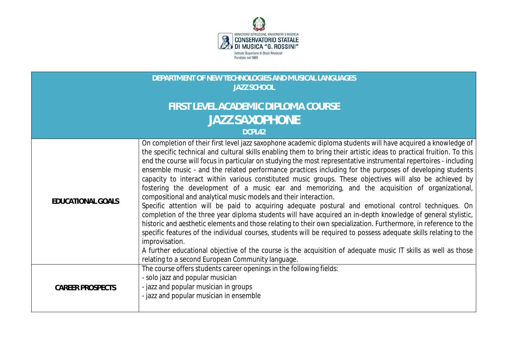

## **DEPARTMENT OF NEW TECHNOLOGIES AND MUSICAL LANGUAGES JAZZ SCHOOL**

## **FIRST LEVEL ACADEMIC DIPLOMA COURSE JAZZ SAXOPHONE**

## **DCPL42**

| EDUCATIONAL GOALS       | On completion of their first level jazz saxophone academic diploma students will have acquired a knowledge of<br>the specific technical and cultural skills enabling them to bring their artistic ideas to practical fruition. To this<br>end the course will focus in particular on studying the most representative instrumental repertoires - including<br>ensemble music - and the related performance practices including for the purposes of developing students<br>capacity to interact within various constituted music groups. These objectives will also be achieved by<br>fostering the development of a music ear and memorizing, and the acquisition of organizational,<br>compositional and analytical music models and their interaction.<br>Specific attention will be paid to acquiring adequate postural and emotional control techniques. On<br>completion of the three year diploma students will have acquired an in-depth knowledge of general stylistic,<br>historic and aesthetic elements and those relating to their own specialization. Furthermore, in reference to the<br>specific features of the individual courses, students will be required to possess adequate skills relating to the<br>improvisation.<br>A further educational objective of the course is the acquisition of adequate music IT skills as well as those<br>relating to a second European Community language. |
|-------------------------|------------------------------------------------------------------------------------------------------------------------------------------------------------------------------------------------------------------------------------------------------------------------------------------------------------------------------------------------------------------------------------------------------------------------------------------------------------------------------------------------------------------------------------------------------------------------------------------------------------------------------------------------------------------------------------------------------------------------------------------------------------------------------------------------------------------------------------------------------------------------------------------------------------------------------------------------------------------------------------------------------------------------------------------------------------------------------------------------------------------------------------------------------------------------------------------------------------------------------------------------------------------------------------------------------------------------------------------------------------------------------------------------------------------|
| <b>CAREER PROSPECTS</b> | The course offers students career openings in the following fields:<br>- solo jazz and popular musician<br>- jazz and popular musician in groups<br>- jazz and popular musician in ensemble                                                                                                                                                                                                                                                                                                                                                                                                                                                                                                                                                                                                                                                                                                                                                                                                                                                                                                                                                                                                                                                                                                                                                                                                                      |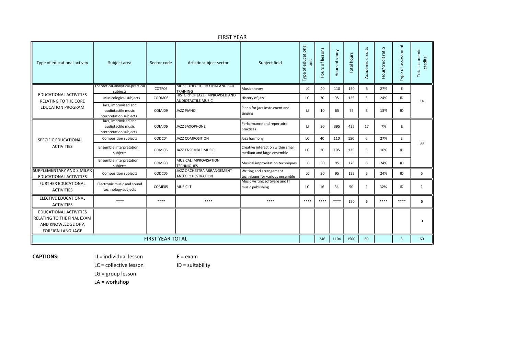| Type of educational activity                                                                          | Subject area                                                          | Sector code | Artistic-subject sector                                      | Subject field                                                   | Type of educational<br>unit | of lessons<br>Hours | of study<br>Hours | Total hours | Academic credits        | Hour/credit ratio | Type of assessment      | otal academic<br>credits |
|-------------------------------------------------------------------------------------------------------|-----------------------------------------------------------------------|-------------|--------------------------------------------------------------|-----------------------------------------------------------------|-----------------------------|---------------------|-------------------|-------------|-------------------------|-------------------|-------------------------|--------------------------|
|                                                                                                       | Theoretical-analytical-practical<br>subjects                          | COTP06      | MUSIC THEORY, RHYTHM AND EAR<br><b>TRAINING</b>              | Music theory                                                    | LC                          | 40                  | 110               | 150         | 6                       | 27%               | E                       |                          |
| EDUCATIONAL ACTIVITIES<br>RELATING TO THE CORE                                                        | Musicological subjects                                                | CODM06      | HISTORY OF JAZZ, IMPROVISED AND<br><b>AUDIOTACTILE MUSIC</b> | History of jazz                                                 | LC                          | 30                  | 95                | 125         | 5                       | 24%               | ID                      | 14                       |
| <b>EDUCATION PROGRAM</b>                                                                              | Jazz, improvised and<br>audiotactile music<br>interpretation subjects | COMJ09      | JAZZ PIANO                                                   | Piano for jazz instrument and<br>singing                        | $\mathbf{H}$                | 10                  | 65                | 75          | $\overline{\mathbf{3}}$ | 13%               | ID                      |                          |
| SPECIFIC EDUCATIONAL<br><b>ACTIVITIES</b>                                                             | Jazz, improvised and<br>audiotactile music<br>interpretation subjects | COMJ06      | JAZZ SAXOPHONE                                               | Performance and repertoire<br>practices                         | $\mathbf{H}$                | 30                  | 395               | 425         | 17                      | 7%                | E                       | 33                       |
|                                                                                                       | Composition subjects                                                  | CODC04      | <b>JAZZ COMPOSITION</b>                                      | Jazz harmony                                                    | LC                          | 40                  | 110               | 150         | 6                       | 27%               | E                       |                          |
|                                                                                                       | Ensemble interpretation<br>subjects                                   | COMI06      | JAZZ ENSEMBLE MUSIC                                          | Creative interaction within small,<br>medium and large ensemble | LG                          | 20                  | 105               | 125         | -5                      | 16%               | ID                      |                          |
|                                                                                                       | Ensemble interpretation<br>subjects                                   | COMI08      | MUSICAL IMPROVISATION<br><b>TECHNIQUES</b>                   | Musical improvisation techniques                                | LC                          | 30                  | 95                | 125         | 5                       | 24%               | ID                      |                          |
| <b>SUPPLEMENTARY AND SIMILAR</b><br><b>FDUCATIONAL ACTIVITIES</b>                                     | Composition subjects                                                  | CODC05      | JAZZ ORCHESTRA ARRANGEMENT<br>AND ORCHESTRATION              | Writing and arrangement<br>techniques for various ensemble      | LC                          | 30                  | 95                | 125         | 5                       | 24%               | ID                      | 5                        |
| <b>FURTHER EDUCATIONAL</b><br><b>ACTIVITIES</b>                                                       | Electronic music and sound<br>technology subjects                     | COME05      | MUSIC IT                                                     | Music writing software and IT<br>music publishing               | LC.                         | 16                  | 34                | 50          | 2                       | 32%               | ID                      | $\overline{2}$           |
| <b>ELECTIVE EDUCATIONAL</b><br><b>ACTIVITIES</b>                                                      | ****                                                                  | ****        | ****                                                         | ****                                                            | ****                        | ****                | ****              | 150         | 6                       | ****              | ****                    | 6                        |
| EDUCATIONAL ACTIVITIES<br>RELATING TO THE FINAL EXAM<br>AND KNOWLEDGE OF A<br><b>FOREIGN LANGUAGE</b> |                                                                       |             |                                                              |                                                                 |                             |                     |                   |             |                         |                   |                         | 0                        |
| <b>FIRST YEAR TOTAL</b>                                                                               |                                                                       |             |                                                              |                                                                 |                             | 246                 | 1104              | 1500        | 60                      |                   | $\overline{\mathbf{3}}$ | 60                       |

FIRST YEAR

CAPTIONS: LI = individual lesson E = exam

LC = collective lesson ID = suitability

LG = group lesson

LA = workshop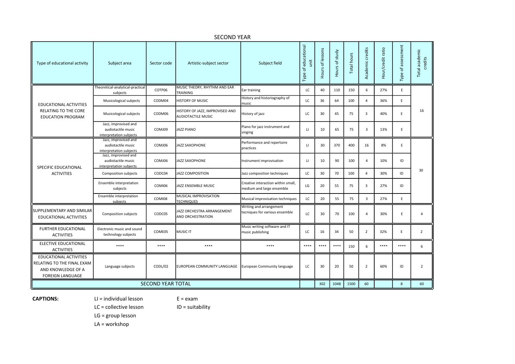| Type of educational activity                                                                          | Subject area                                                          | Sector code | Artistic-subject sector                               | Subject field                                                   | Type of educational<br>unit | Hours of lessons | Hours of study | Total hours | Academic credits        | Hour/credit ratio | Type of assessment | Total academic<br>credits |
|-------------------------------------------------------------------------------------------------------|-----------------------------------------------------------------------|-------------|-------------------------------------------------------|-----------------------------------------------------------------|-----------------------------|------------------|----------------|-------------|-------------------------|-------------------|--------------------|---------------------------|
|                                                                                                       | Theoretical-analytical-practical<br>subjects                          | COTP06      | MUSIC THEORY, RHYTHM AND EAR<br>TRAINING              | Ear training                                                    | LC                          | 40               | 110            | 150         | 6                       | 27%               | E.                 |                           |
| EDUCATIONAL ACTIVITIES                                                                                | Musicological subjects                                                | CODM04      | HISTORY OF MUSIC                                      | History and historiography of<br>music                          | LC                          | 36               | 64             | 100         | $\overline{a}$          | 36%               | E.                 |                           |
| RELATING TO THE CORE<br><b>EDUCATION PROGRAM</b>                                                      | Musicological subjects                                                | CODM06      | HISTORY OF JAZZ, IMPROVISED AND<br>AUDIOTACTILE MUSIC | History of jazz                                                 | LC                          | 30               | 45             | 75          | $\overline{3}$          | 40%               | E                  | 16                        |
|                                                                                                       | Jazz, improvised and<br>audiotactile music<br>interpretation subjects | COMJ09      | JAZZ PIANO                                            | Piano for jazz instrument and<br>singing                        | $\mathbf{u}$                | 10               | 65             | 75          | $\overline{3}$          | 13%               | E.                 |                           |
| SPECIFIC EDUCATIONAL<br><b>ACTIVITIES</b>                                                             | Jazz, improvised and<br>audiotactile music<br>interpretation subjects | COMJ06      | JAZZ SAXOPHONE                                        | Performance and repertoire<br>practices                         | $\mathbf{H}$                | 30               | 370            | 400         | 16                      | 8%                | E                  |                           |
|                                                                                                       | Jazz, improvised and<br>audiotactile music<br>interpretation subjects | COMJ06      | JAZZ SAXOPHONE                                        | Instrument improvisation                                        | $\Box$                      | 10               | 90             | 100         | $\overline{a}$          | 10%               | ID                 |                           |
|                                                                                                       | Composition subjects                                                  | CODC04      | <b>JAZZ COMPOSITION</b>                               | Jazz composition techniques                                     | LC                          | 30               | 70             | 100         | $\overline{4}$          | 30%               | ID                 | 30                        |
|                                                                                                       | Ensemble interpretation<br>subjects                                   | COMI06      | JAZZ ENSEMBLE MUSIC                                   | Creative interaction within small,<br>medium and large ensemble | LG                          | 20               | 55             | 75          | $\overline{\mathbf{3}}$ | 27%               | ID                 |                           |
|                                                                                                       | Ensemble interpretation<br>subjects                                   | COMI08      | MUSICAL IMPROVISATION<br><b>TECHNIQUES</b>            | Musical improvisation techniques                                | LC                          | 20               | 55             | 75          | $\overline{3}$          | 27%               | E.                 |                           |
| SUPPLEMENTARY AND SIMILAR<br>EDUCATIONAL ACTIVITIES                                                   | Composition subjects                                                  | CODC05      | JAZZ ORCHESTRA ARRANGEMENT<br>AND ORCHESTRATION       | Writing and arrangement<br>tecniques for various ensemble       | LC                          | 30               | 70             | 100         | $\overline{a}$          | 30%               | E                  | $\overline{4}$            |
| <b>FURTHER EDUCATIONAL</b><br><b>ACTIVITIES</b>                                                       | Electronic music and sound<br>technology subjects                     | COME05      | <b>MUSIC IT</b>                                       | Music writing software and IT<br>music publishing               | LC                          | 16               | 34             | 50          | $\overline{2}$          | 32%               | E                  | $\overline{2}$            |
| ELECTIVE EDUCATIONAL<br><b>ACTIVITIES</b>                                                             | ****                                                                  | $****$      | ****                                                  | ****                                                            | $****$                      | ****             | $****$         | 150         | 6                       | $****$            | $****$             | 6                         |
| EDUCATIONAL ACTIVITIES<br>RELATING TO THE FINAL EXAM<br>AND KNOWLEDGE OF A<br><b>FOREIGN LANGUAGE</b> | Language subjects                                                     | CODL/02     | EUROPEAN COMMUNITY LANGUAGE                           | European Community language                                     | LC                          | 30               | 20             | 50          | $\overline{2}$          | 60%               | ID                 | $\overline{2}$            |
| <b>SECOND YEAR TOTAL</b>                                                                              |                                                                       |             |                                                       |                                                                 |                             | 302              | 1048           | 1500        | 60                      |                   | 8                  | 60                        |

## SECOND YEAR

CAPTIONS: LI = individual lesson E = exam

 $LC =$  collective lesson  $ID =$  suitability

LG = group lesson

LA = workshop